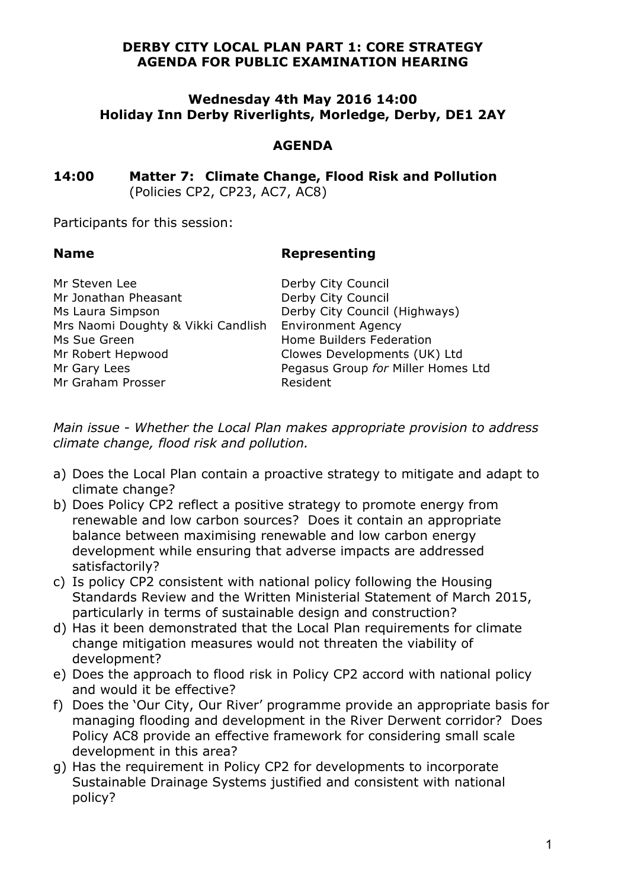## **DERBY CITY LOCAL PLAN PART 1: CORE STRATEGY AGENDA FOR PUBLIC EXAMINATION HEARING**

### **Wednesday 4th May 2016 14:00 Holiday Inn Derby Riverlights, Morledge, Derby, DE1 2AY**

# **AGENDA**

**14:00 Matter 7: Climate Change, Flood Risk and Pollution** (Policies CP2, CP23, AC7, AC8)

Participants for this session:

### **Name Representing**

**Miller Homes Ltd** 

| Derby City Council                                    |
|-------------------------------------------------------|
| Derby City Council                                    |
| Derby City Council (Highways)                         |
| Mrs Naomi Doughty & Vikki Candlish Environment Agency |
| Home Builders Federation                              |
| Clowes Developments (UK) Ltd                          |
| Pegasus Group for Miller Homes                        |
| Resident                                              |
|                                                       |

*Main issue - Whether the Local Plan makes appropriate provision to address climate change, flood risk and pollution.* 

- a) Does the Local Plan contain a proactive strategy to mitigate and adapt to climate change?
- b) Does Policy CP2 reflect a positive strategy to promote energy from renewable and low carbon sources? Does it contain an appropriate balance between maximising renewable and low carbon energy development while ensuring that adverse impacts are addressed satisfactorily?
- c) Is policy CP2 consistent with national policy following the Housing Standards Review and the Written Ministerial Statement of March 2015, particularly in terms of sustainable design and construction?
- d) Has it been demonstrated that the Local Plan requirements for climate change mitigation measures would not threaten the viability of development?
- e) Does the approach to flood risk in Policy CP2 accord with national policy and would it be effective?
- f) Does the 'Our City, Our River' programme provide an appropriate basis for managing flooding and development in the River Derwent corridor? Does Policy AC8 provide an effective framework for considering small scale development in this area?
- g) Has the requirement in Policy CP2 for developments to incorporate Sustainable Drainage Systems justified and consistent with national policy?